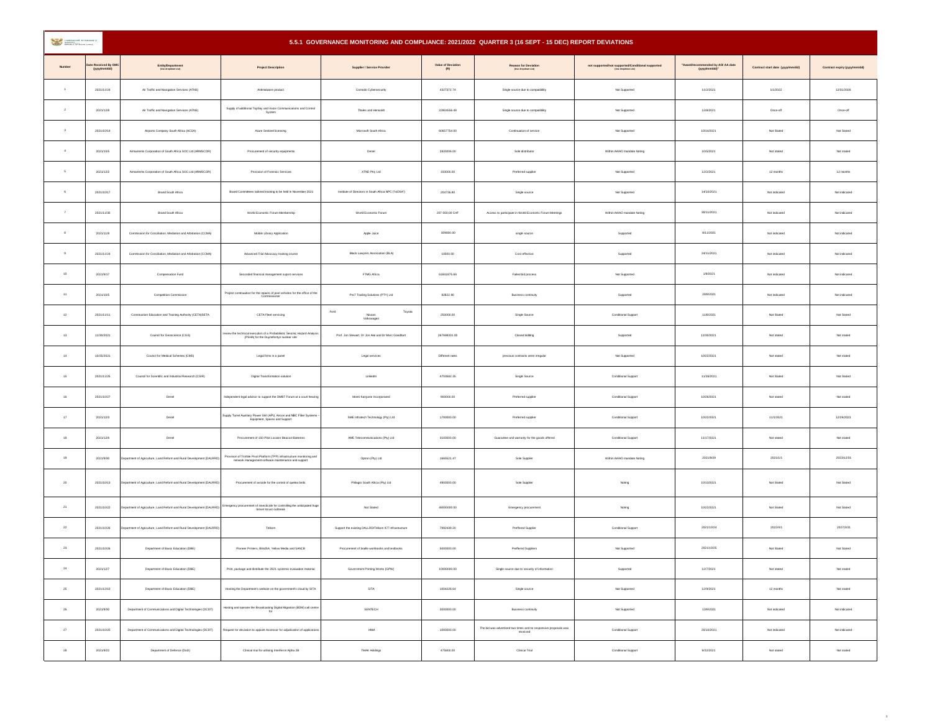| <b>CONTRACTOR</b> DESCRIPTION |                                  | 5.5.1 GOVERNANCE MONITORING AND COMPLIANCE: 2021/2022 QUARTER 3 (16 SEPT - 15 DEC) REPORT DEVIATIONS |                                                                                                                                |                                                       |                                                                                        |                                                                              |                                                   |                                                |                                  |                              |
|-------------------------------|----------------------------------|------------------------------------------------------------------------------------------------------|--------------------------------------------------------------------------------------------------------------------------------|-------------------------------------------------------|----------------------------------------------------------------------------------------|------------------------------------------------------------------------------|---------------------------------------------------|------------------------------------------------|----------------------------------|------------------------------|
| <b>Number</b>                 | te Received By GM<br>(yyyımm/dd) | Entity/Department<br>(Use dropdown List)                                                             | <b>Project Description</b>                                                                                                     | Supplier / Service Provider                           | Value of Deviation<br>$\label{eq:R} \begin{array}{ll} \text{V} & \text{N} \end{array}$ | Reason for Deviation                                                         | not supported/not supported/Conditional supported | mended by AO/ AA date<br>*Awar<br>(yyyymm/dd)* | Contract start date (yyyyimm/dd) | Contract expiry (yyyyimm/dd) |
| $\overline{1}$                | 2021/11/24                       | Air Traffic and Navigation Services (ATNS)                                                           | Antimalware product                                                                                                            | Comodo Cybersecurity                                  | 4327372.74                                                                             | Single source due to compatibility                                           | Not Supported                                     | 11/2/2021                                      | 1/1/2022                         | 12/31/2026                   |
| $\,$ 2 $\,$                   | 2021/12/8                        | Air Traffic and Navigation Services (ATNS)                                                           | Supply of additional TopSky and Voice Communications and Control<br>System                                                     | Thales and Hensoldt                                   | 22804556.48                                                                            | Single source due to compatibility                                           | Not Supported                                     | 12/8/2021                                      | Once-off                         | Once-off                     |
| $^{\rm 3}$                    | 2021/10/14                       | Airports Company South Africa (ACSA)                                                                 | Azure Sentinel licensing                                                                                                       | Microsoft South Africa                                | 60657754.00                                                                            | Continuation of service                                                      | Not Supported                                     | 10/14/2021                                     | Not Stated                       | Not Stated                   |
| $\,$                          | 2021/10/5                        | Armaments Corporation of South Africa SOC Ltd (ARMSCOR)                                              | Procurement of security equipments                                                                                             | Denel                                                 | 2820206.00                                                                             | Sole distributor                                                             | Within AA/AO mandate Noting                       | 10/5/2021                                      | Not stated                       | Not stated                   |
| $\mathsf{s}$                  | 2021/12/2                        | Armaments Corporation of South Africa SOC Ltd (ARMSCOR)                                              | Provision of Forensic Services                                                                                                 | XTND Ptry Ltd                                         | 150000.00                                                                              | Preferred supplier                                                           | Not Supported                                     | 12/2/2021                                      | 12 months                        | 12 months                    |
| $_{\rm 6}$                    | 2021/10/17                       | Brand South Africa                                                                                   | Board Committees tailored training to be held in November 2021                                                                 | Institute of Directors in South Africa NPC ("IoDSA")  | 204736.80                                                                              | Single source                                                                | Not Supported                                     | 14/10/2021                                     | Not indicated                    | Not indicated                |
| $\tau$                        | 2021/11/30                       | Brand South Africa                                                                                   | World Economic Forum Membership                                                                                                | World Economic Forum                                  | 207 000,00 CHF                                                                         | Access to participate in World Economic Forum Meetings                       | Within AA/AO mandate Noting                       | 30/11/2021                                     | Not indicated                    | Not indicated                |
| 8                             | 2021/11/8                        | Commission for Conciliation, Mediation and Arbitration (CCMA)                                        | Mobile Library Application                                                                                                     | Apple Juice                                           | 309000.00                                                                              | single source                                                                | Supported                                         | 8/11/2021                                      | Not indicated                    | Not indicated                |
| $\,9$                         | 2021/11/24                       | Commission for Conciliation, Mediation and Arbitration (CCMA)                                        | Advanced Trial Advocacy training course                                                                                        | Black Lawyers Association (BLA)                       | 10000.00                                                                               | Cost effective                                                               | Supported                                         | 24/11/2021                                     | Not indicated                    | Not indicated                |
| $10\,$                        | 2021/9/17                        | Compensation Fund                                                                                    | Seconded financial management suport services                                                                                  | FTMG Africa                                           | 61841875.69                                                                            | Failed bid process                                                           | Not Supported                                     | 1/9/2021                                       | Not indicated                    | Not indicated                |
| 11                            | 2021/10/5                        | Competition Commission                                                                               | Project continuation for the repairs of pool vehicles for the office of the                                                    | Pro7 Trading Solutions (PTY) Ltd.                     | 82822.90                                                                               | Business continuity                                                          | Supported                                         | 29/9/2021                                      | Not indicated                    | Not indicated                |
| $12\,$                        | 2021/11/11                       | Construction Education and Training Authority (CETAISETA                                             | CETA Fleet servicing                                                                                                           | Ford<br>Toyota<br>Nissan<br>Volkswagen                | 250000.00                                                                              | Single Source                                                                | Conditional Support                               | 11/8/2021                                      | Not Stated                       | Not Stated                   |
| 13                            | 11/30/2021                       | Council for Geoscience (CGS)                                                                         | aview the technical execution of a Probabilistic Seismic Hazard Analysis<br>(PSHA) for the Duynefontyn nuclear site            | Prof. Jon Stewart, Dr Jon Ake and Dr Marc Goechart    | 267698331.00                                                                           | Closed bidding                                                               | Supported                                         | 11/30/2021                                     | Not stated                       | Not stated                   |
| $^{\rm 14}$                   | 10/25/2021                       | Council for Medical Schemes (CMS)                                                                    | Legal firms in a panel                                                                                                         | Legal services                                        | Different rates                                                                        | previous contracts were irregular                                            | Not Supported                                     | 10/22/2021                                     | Not stated                       | Not stated                   |
| $15\,$                        | 2021/11/25                       | Council for Scientific and Industrial Research (CSIR)                                                | Digital Transformation solution                                                                                                | Linkedin                                              | 4703582.35                                                                             | Single Source                                                                | Conditional Support                               | 11/26/2021                                     | Not Stated                       | Not Stated                   |
| 16                            | 2021/10/27                       | Denel                                                                                                | Independent legal advisor to support the DMBT Forum at a court hearing                                                         | Moeti Kanyane Incorporated                            | 900000.00                                                                              | Preferred supplier                                                           | Conditional Support                               | 10/26/2021                                     | Not stated                       | Not stated                   |
| $\mathbf{17}$                 | 2021/12/3                        | Denel                                                                                                | Supply Turret Auxiliary Power Unit (APU, Aircon and NBC Filter Systems -<br>Equipment, Spares and Support                      | SME Infratech Technology (Pty) Ltd.                   | 1700000.00                                                                             | Preferred supplier                                                           | Conditional Support                               | 10/22/2021                                     | 11/1/2021                        | 12/29/2023                   |
| 18                            | 2021/12/6                        | Denel                                                                                                | Procurement of 150 Pilot Locator Beacon Batteries                                                                              | AME Telecommunications (Pty) Ltd                      | 3100000.00                                                                             | Guarantee and warranty for the goods offered                                 | Conditional Support                               | 11/17/2021                                     | Not stated                       | Not stated                   |
| 19                            | 2021/9/30                        | epartment of Agriculture, Land Reform and Rural Development (DALRRD)                                 | Provision of Trimble Pivot Platform (TPP) infrastructure monitoring and<br>network management software maintenance and support | Optron (Pty) Ltd                                      | 1665521.47                                                                             | Sole Supplier                                                                | Within AA/AO mandate Noting                       | 2021/9/29                                      | 2021/1/1                         | 2023/12/31                   |
| $20\,$                        | 2021/10/13                       | epartment of Agriculture, Land Reform and Rural Development (DALRRD)                                 | Procurement of avicide for the control of quelea birds                                                                         | Philagro South Africa (Pty) Ltd.                      | 4900000.00                                                                             | Sole Supplier                                                                | Noting                                            | 10/13/2021                                     | Not Stated                       | Not Stated                   |
| $21\,$                        | 2021/10/22                       | epartment of Agriculture, Land Reform and Rural Development (DALRRD)                                 | Emergency procurement of insecticide for controlling the anticipated huge<br>brown locust outbreak                             | Not Stated                                            | 48000000.00                                                                            | Emergency procurement                                                        | Noting                                            | 10/22/2021                                     | Not Stated                       | Not Stated                   |
| ${\bf 22}$                    | 2021/10/26                       | epartment of Agriculture, Land Reform and Rural Development (DALRRD                                  | Telkom                                                                                                                         | Support the existing DALLRD/Telkom ICT Infrastructure | 7992439.20                                                                             | Preffered Supplier                                                           | Conditional Support                               | 2021/10/24                                     | 2022/4/1                         | 2027/3/31                    |
| $^{\rm 23}$                   | 2021/10/26                       | Department of Basic Education (DBE)                                                                  | Pioneer Printers, BlindSA, Yellow Media and SANCB                                                                              | Procurement of braille workbooks and textbooks        | 5000000.00                                                                             | Preffered Suppliers                                                          | Not Supported                                     | 2021/10/25                                     | Not Stated                       | Not Stated                   |
| 24                            | 2021/12/7                        | Department of Basic Education (DBE)                                                                  | Print, package and distribute the 2021 systemic evaluation material                                                            | Government Printing Works (GPW)                       | 10000000.00                                                                            | Single source due to security of information                                 | Supported                                         | 12/7/2021                                      | Not stated                       | Not stated                   |
| 25                            | 2021/12/10                       | Department of Basic Education (DBE)                                                                  | Hosting the Department's website on the government's cloud by SITA                                                             | SITA                                                  | 1004228.64                                                                             | Single source                                                                | Not Supported                                     | 12/9/2021                                      | 12 months                        | Not stated                   |
| $26\,$                        | 2021/9/30                        | Department of Communications and Digital Technologies (DCDT)                                         | Hosting and operate the Broadcasting Digital Migration (BDM) call centre                                                       | SENTECH                                               | 3000000.00                                                                             | Business continuity                                                          | Not Supported                                     | 13/9/2021                                      | Not indicated                    | Not indicated                |
| $27\,$                        | 2021/10/20                       | Department of Communications and Digital Technologies (DCDT)                                         | Request for deviation to appoint Assessor for adjudication of application                                                      | HNM                                                   | 1000000.00                                                                             | The bid was advertised two times and no responsive proposals was<br>received | Conditional Support                               | 20/10/2021                                     | Not indicated                    | Not indicated                |
| $\bf 28$                      | 2021/9/22                        | Department of Defence (DoD)                                                                          | Clinical trial for utilising Interferon Alpha 2B                                                                               | TMAK Holdings                                         | 475800.00                                                                              | Clinical Trial                                                               | Conditional Support                               | 9/22/2021                                      | Not stated                       | Not stated                   |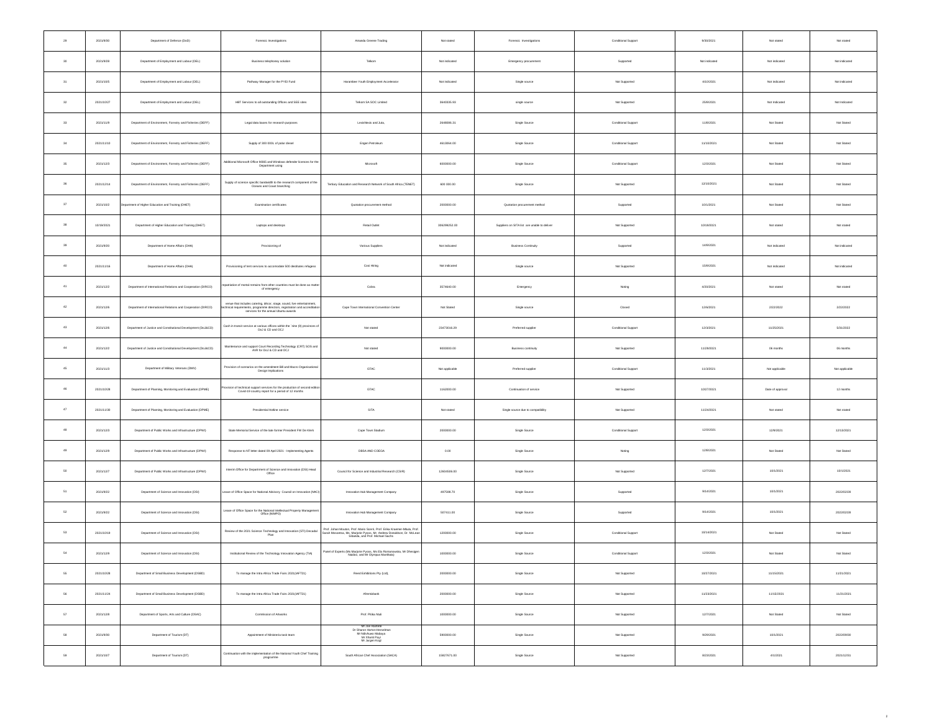| $\bf 29$    | 2021/9/30  | Department of Defence (DoD)                                   | Forensic Investigations                                                                                                                                                                      | Amanda Greene Trading                                                                                                                                                                | Not stated     | Forensic Investigations                      | Conditional Support | 9/30/2021     | Not stated       | Not stated     |
|-------------|------------|---------------------------------------------------------------|----------------------------------------------------------------------------------------------------------------------------------------------------------------------------------------------|--------------------------------------------------------------------------------------------------------------------------------------------------------------------------------------|----------------|----------------------------------------------|---------------------|---------------|------------------|----------------|
| 30          | 2021/9/28  | Department of Employment and Labour (DEL)                     | Business telephoney solution                                                                                                                                                                 | Telkom                                                                                                                                                                               | Not indicated  | Emergency procurement                        | Supported           | Not indicated | Not indicated    | Not indicated  |
| $31\,$      | 2021/10/5  | Department of Employment and Labour (DEL)                     | Pathway Manager for the PYEI Fund                                                                                                                                                            | Harambee Youth Employment Accelerator                                                                                                                                                | Not indicated  | Single source                                | Not Supported       | 4/10/2021     | Not indicated    | Not indicated  |
| 32          | 2021/10/27 | Department of Employment and Labour (DEL)                     | HBT Services to all outstanding Offices and SEE sites                                                                                                                                        | Telkom SA SOC Limited                                                                                                                                                                | 3640335.93     | single source                                | Not Supported       | 25/9/2021     | Not Indicated    | Not Indicated  |
| $_{\rm 33}$ | 2021/11/9  | Department of Environment, Forestry and Fisheries (DEFF)      | Legal data bases for research purposes                                                                                                                                                       | LexisNexis and Juta,                                                                                                                                                                 | 2648086.31     | Single Source                                | Conditional Support | 11/8/2021     | Not Stated       | Not Stated     |
| $_{\rm 34}$ | 2021/11/10 | Department of Environment, Forestry and Fisheries (DEFF)      | Supply of 300 000L of polar diesel                                                                                                                                                           | Engen Petroleum                                                                                                                                                                      | 4613064.00     | Single Source                                | Conditional Support | 11/10/2021    | Not Stated       | Not Stated     |
| 35          | 2021/12/3  | Department of Environment, Forestry and Fisheries (DEFF)      | Additional Microsoft Office M365 and Windows defender licences for the<br>Department using                                                                                                   | Microsoft                                                                                                                                                                            | 6000000.00     | Single Source                                | Conditional Support | 12/3/2021     | Not Stated       | Not Stated     |
| $36\,$      | 2021/12/14 | Department of Environment, Forestry and Fisheries (DEFF)      | Supply of science specific bandwidth to the research component of the<br>Oceans and Coast branching                                                                                          | Tertiary Education and Research Network of South Africa (TENET)                                                                                                                      | 600 000.00     | Single Source                                | Not Supported       | 12/10/2021    | Not Stated       | Not Stated     |
| $37\,$      | 2021/10/2  | spartment of Higher Education and Training (DHET)             | Examination certificates                                                                                                                                                                     | Quotation procurement method                                                                                                                                                         | 2000000.00     | Quotation procurement method                 | Supported           | 10/1/2021     | Not Stated       | Not Stated     |
| $38\,$      | 10/19/2021 | Department of Higher Education and Training (DHET)            | Laptops and desktops                                                                                                                                                                         | Retail Outlet                                                                                                                                                                        | 306299252.00   | Suppliers on SITA list are unable to deliver | Not Supported       | 10/19/2021    | Not stated       | Not stated     |
| $39\,$      | 2021/9/20  | Department of Home Affairs (DHA)                              | Provisioning of                                                                                                                                                                              | Various Suppliers                                                                                                                                                                    | Not indicated  | <b>Business Continuity</b>                   | Supported           | 14/9/2021     | Not indicated    | Not indicated  |
| 40          | 2021/11/16 | Department of Home Affairs (DHA)                              | Provisioning of tent services to accomodate 500 destitutes refugess                                                                                                                          | Cosi Hiring                                                                                                                                                                          | Not indicated  | Single source                                | Not Supported       | 15/9/2021     | Not indicated    | Not indicated  |
| $41\,$      | 2021/12/2  | Department of International Relations and Cooperation (DIRCO) | patriation of mortal remains from other countries must be done as matter<br>of emergency                                                                                                     | Cobra                                                                                                                                                                                | 3574640.00     | Emergency                                    | Noting              | 4/20/2021     | Not stated       | Not stated     |
| 42          | 2021/12/6  | Department of International Relations and Cooperation (DIRCO) | verue that includes catering, décor, stage, sound, live entertainment,<br>chnical requirements, programme directors, registration and accreditation<br>services for the annual Ubuntu awards | Cape Town International Convention Center                                                                                                                                            | Not Stated     | Single source                                | Closed              | 12/6/2021     | 2/22/2022        | 2/22/2022      |
| $43\,$      | 2021/12/6  | Department of Justice and Constitutional Development (DoJ&CD) | Cash in transit service at various offices within the 'nine (9) provinces of<br>DoJ & CD and OCJ                                                                                             | Not stated                                                                                                                                                                           | 23473016.29    | Preferred supplier                           | Conditional Support | 12/3/2021     | 11/25/2021       | 5/31/2022      |
| 44          | 2021/12/2  | Department of Justice and Constitutional Development (DoJ&CD) | Maintenance and support Court Recording Technology (CRT) SOS and<br>AVR for DoJ & CD and OCJ                                                                                                 | Not stated                                                                                                                                                                           | 9000000.00     | Business continuity                          | Not Supported       | 11/29/2021    | 06 months        | 06 months      |
| 45          | 2021/11/3  | Department of Military Veterans (DMV)                         | Provision of scenarios on the amendment Bill and Macro Organisational<br>Design Implications                                                                                                 | GTAC                                                                                                                                                                                 | Not applicable | Preferred supplier                           | Conditional Support | 11/3/2021     | Not applicable   | Not applicable |
| $46\,$      | 2021/10/28 | Department of Planning, Monitoring and Evaluation (DPME)      | vision of technical support services for the production of second edition<br>Covid-19 country report for a period of 12 months                                                               | GTAC                                                                                                                                                                                 | 1162000.00     | Continuation of service                      | Not Supported       | 10/27/2021    | Date of approval | 12 months      |
| 47          | 2021/11/30 | Department of Planning, Monitoring and Evaluation (DPME)      | Presidential Hotline service                                                                                                                                                                 | SITA                                                                                                                                                                                 | Not stated     | Single source due to compatibility           | Not Supported       | 11/24/2021    | Not stated       | Not stated     |
| 48          | 2021/12/3  | Department of Public Works and Infrastructure (DPWI)          | State Memorial Service of the late former President FW De Klerk                                                                                                                              | Cape Town Stadium                                                                                                                                                                    | 2000000.00     | Single Source                                | Conditional Support | 12/3/2021     | 12/9/2021        | 12/13/2021     |
| 49          | 2021/12/9  | Department of Public Works and Infrastructure (DPWI)          | Response to NT letter dated 09 April 2021 - Implementing Agents                                                                                                                              | DBSA AND COEGA                                                                                                                                                                       | 0.00           | Single Source                                | Noting              | 12/8/2021     | Not Stated       | Not Stated     |
| 50          | 2021/12/7  | Department of Public Works and Infrastructure (DPWI)          | Interim Office for Department of Science and Innovation (DSI) Head                                                                                                                           | Council for Science and Industrial Research (CSIR)                                                                                                                                   | 12604506.00    | Single Source                                | Not Supported       | 12/7/2021     | 10/1/2021        | 10/1/2021      |
| 51          | 2021/9/22  | Department of Science and Innovation (DSI)                    | Lease of Office Space for National Advisory Council on Innovation (NACI)                                                                                                                     | Innovation Hub Management Company                                                                                                                                                    | 497598.70      | Single Source                                | Supported           | 9/14/2021     | 10/1/2021        | 2022/02/28     |
| 52          | 2021/9/22  | Department of Science and Innovation (DSI)                    | Lease of Office Space for the National Intellectual Property Management<br>Office (NIMPO)                                                                                                    | Innovation Hub Management Company                                                                                                                                                    | 507411.00      | Single Source                                | Supported           | 9/14/2021     | 10/1/2021        | 2022/02/28     |
| 53          | 2021/10/19 | Department of Science and Innovation (DSI)                    | Review of the 2021 Science Technology and Innovation (STI) Decadal                                                                                                                           | Prof. Johan Mouton, Prof. Mario Scenti, Prof. Erika Kraemer-Mbula, Prof.<br>Sarah Mosoetsa, Ms. Marjorie Pyoos, Mr. Andrew Donaldson, Dr. McLean<br>Sibanda, and Prof. Michael Sachs | 1200000.00     | Single Source                                | Conditional Support | 10/14/2021    | Not Stated       | Not Stated     |
| $^{\rm 54}$ | 2021/12/9  | Department of Science and Innovation (DSI)                    | Institutional Review of the Technology Innovation Agency (TIA)                                                                                                                               | Panel of Experts (Ms Marjorie Pyoos, Ms Ela Romanowska, Mr Dhesigen<br>Naidoo, and Mr Olympus Manthata)                                                                              | 1000000.00     | Single Source                                | Conditional Support | 12/3/2021     | Not Stated       | Not Stated     |
| 55          | 2021/10/28 | Department of Small Business Development (DSBD)               | To manage the Intra Africa Trade Fairs 2021(IAFT21)                                                                                                                                          | Reed Exhibitions Pty (Ltd),                                                                                                                                                          | 2000000.00     | Single Source                                | Not Supported       | 10/27/2021    | 11/15/2021       | 11/21/2021     |
| $^{\rm 56}$ | 2021/11/24 | Department of Small Business Development (DSBD)               | To manage the Intra Africa Trade Fairs 2021(IAFT21)                                                                                                                                          | <b>Afremiobank</b>                                                                                                                                                                   | 2000000.00     | Single Source                                | Not Supported       | 11/23/2021    | 11/15/2021       | 11/21/2021     |
| 57          | 2021/12/8  | Department of Sports, Arts and Culture (DSAC)                 | Commission of Artworks                                                                                                                                                                       | Prof. Pitika Ntuli                                                                                                                                                                   | 1000000.00     | Single Source                                | Not Supported       | 12/7/2021     | Not Stated       | Not Stated     |
| 58          | 2021/9/30  | Department of Tourism (DT)                                    | Appointment of Ministeria task team                                                                                                                                                          | Mr Joe Rantete<br>Dr Sharon Horton-Herselman<br>Mr Ndivhuwo Mabaya<br>Mr Jurgen Kogl<br>Mr Jurgen Kogl                                                                               | 5900000.00     | Single Source                                | Not Supported       | 9/29/2021     | 10/1/2021        | 2022/09/30     |
| 59          | 2021/10/7  | Department of Tourism (DT)                                    | Continuation with the implementation of the National Youth Chef Training<br>programme                                                                                                        | South African Chaf Association (SACA)                                                                                                                                                | 15827671.00    | Single Source                                | Not Supported       | 8/23/2021     | 4/1/2021         | 2021/12/31     |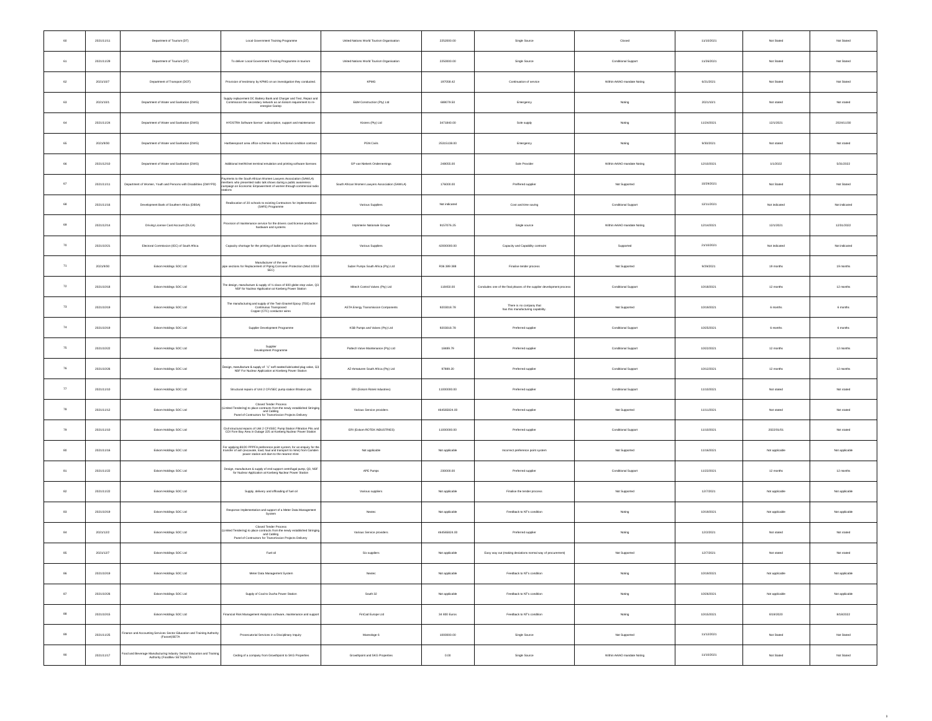| 60                   | 2021/11/11 | Department of Tourism (DT)                                                                             | Local Government Training Programme                                                                                                                                                                                  | United Nations World Tourism Organisation       | 2252000.00     | Single Source                                                         | Closed                      | 11/10/2021 | Not Stated     | Not Stated     |
|----------------------|------------|--------------------------------------------------------------------------------------------------------|----------------------------------------------------------------------------------------------------------------------------------------------------------------------------------------------------------------------|-------------------------------------------------|----------------|-----------------------------------------------------------------------|-----------------------------|------------|----------------|----------------|
| 61                   | 2021/11/29 | Department of Tourism (DT)                                                                             | To deliver Local Government Training Programme in tourism                                                                                                                                                            | United Nations World Tourism Organisation       | 2250000.00     | Single Source                                                         | Conditional Support         | 11/26/2021 | Not Stated     | Not Stated     |
| $_{\rm 62}$          | 2021/10/7  | Department of Transport (DOT)                                                                          | Provision of testimony by KPMG on an investigation they conducted.                                                                                                                                                   | KPMG                                            | 197058.42      | Continuation of service                                               | Within AA/AO mandate Noting | 6/21/2021  | Not Stated     | Not Stated     |
| 63                   | 2021/10/1  | Department of Water and Sanitation (DWS)                                                               | Supply replacement DC Battery Bank and Charger and Test, Repair and<br>Commission the secondary network as an Eskom requirement to re-                                                                               | E&M Construction (Pty) Ltd                      | 688079.50      | Emergency                                                             | Noting                      | 2021/10/1  | Not stated     | Not stated     |
| $_{\rm 64}$          | 2021/11/24 | Department of Water and Sanitation (DWS)                                                               | HYDSTRA Software license' subscription, support and maintenance                                                                                                                                                      | Kisters (Pty) Ltd                               | 3471840.00     | Sole supply                                                           | Noting                      | 11/24/2021 | 12/1/2021      | 2024/11/30     |
| $_{\rm 65}$          | 2021/9/30  | Department of Water and Sanitation (DWS)                                                               | Hartheespoort area office schemes into a functional condition contract                                                                                                                                               | PGN Civils                                      | 25315138.00    | Emergency                                                             | Noting                      | 9/30/2021  | Not stated     | Not stated     |
| 66                   | 2021/12/10 | Department of Water and Sanitation (DWS)                                                               | Additional Inst/Winst terminal emulation and printing software licenses                                                                                                                                              | GP van Niekerk Ondernemings                     | 248055.00      | Sole Provider                                                         | Within AA/AO mandate Noting | 12/10/2021 | 1/1/2022       | 5/31/2022      |
| $_{\rm 67}$          | 2021/11/11 | Department of Women, Youth and Persons with Disabilities (DWYPD)                                       | Payments to the South African Women Lawyers Association (SAWLA)<br>members who presented radio talk shows during a public awareness<br>campaign on Economic Empowement of women through commercial radio<br>stations | South African Women Lawyers Association (SAWLA) | 176000.00      | Preffered supplier                                                    | Not Supported               | 10/29/2021 | Not Stated     | Not Stated     |
| 68                   | 2021/11/16 | Development Bank of Southern Africa (DBSA)                                                             | Reallocation of 20 schools to existing Contractors for implementation<br>(SAFE) Programme                                                                                                                            | Various Suppliers                               | Not indicated  | Cost and time saving                                                  | Conditional Support         | 12/11/2021 | Not indicated  | Not indicated  |
| $_{69}$              | 2021/12/14 | Driving License Card Account (DLCA)                                                                    | Provision of maintenance service for the drivers card license production<br>hardware and systems                                                                                                                     | Imprimerie Nationale Groupe                     | 9157076.25     | Single source                                                         | Within AA/AO mandate Noting | 12/14/2021 | 12/1/2021      | 12/31/2022     |
| 70                   | 2021/10/21 | Electoral Commission (IEC) of South Africa                                                             | Capacity shortage for the printing of ballot papers local Gov elections                                                                                                                                              | Various Suppliers                               | 42000000.00    | Capacity and Capability contraint                                     | Supported                   | 21/10/2021 | Not indicated  | Not indicated  |
| 71                   | 2021/9/30  | Eskom Holdings SOC Ltd.                                                                                | Manufacturer of the new<br>pipe sections for Replacement of Piping Corrosion Protection (Mod 10018<br>SEC)                                                                                                           | Sulzer Pumps South Africa (Ptv) Ltd.            | R36 389 388    | Finalise tender process                                               | Not Supported               | 9/29/2021  | 19 months      | 19 months      |
| $\scriptstyle\rm 72$ | 2021/10/18 | Eskom Holdings SOC Ltd                                                                                 | The design, manufacture & supply of % class of 600 globe stop valve, Q3,<br>NSF for Nuclear Application at Koeberg Power Station                                                                                     | Mitech Control Valves (Pty) Ltd.                | 118450.00      | Concludes one of the final phases of the supplier development process | Conditional Support         | 10/18/2021 | 12 months      | 12 months      |
| 73                   | 2021/10/19 | Eskom Holdings SOC Ltd                                                                                 | The manufacturing and supply of the Twin Enamel Epoxy (TEE) and<br>Continuous Transposed<br>Copper (CTC) conductor wires                                                                                             | ASTA Energy Transmission Components             | 9203018.78     | There is no company that<br>has this manufacturing capability         | Not Supported               | 10/19/2021 | 6 months       | $6$ months     |
| $\scriptstyle{74}$   | 2021/10/19 | Eskom Holdings SOC Ltd                                                                                 | Supplier Development Programme                                                                                                                                                                                       | KSB Pumps and Valves (Ptv) Ltd.                 | 9203018.78     | Preferred supplier                                                    | Conditional Support         | 10/25/2021 | 6 months       | 6 months       |
| ${\bf 75}$           | 2021/10/22 | Eskom Holdings SOC Ltd                                                                                 | Supplier<br>Development Programme                                                                                                                                                                                    | Paltech Valve Maintenance (Pty) Ltd             | 18489.79       | Preferred supplier                                                    | Conditional Support         | 10/22/2021 | 12 months      | 12 months      |
| 76                   | 2021/10/26 | Eskom Holdings SOC Ltd.                                                                                | Design, manufacture & supply of %" soft seated lubricated plug valve, Q3;<br>NSF For Nuclear Application at Koeberg Power Station                                                                                    | AZ-Armaturen South Africa (Pty) Ltd.            | 97989.20       | Preferred supplier                                                    | Conditional Support         | 10/12/2021 | 12 months      | 12 months      |
| $77\,$               | 2021/11/10 | Eskom Holdings SOC Ltd                                                                                 | Structural repairs of Unit 2 CFI/SEC pump station filtration pits                                                                                                                                                    | ERI (Eskom Rotek Industries)                    | 11000000.00    | Preferred supplier                                                    | Conditional Support         | 11/10/2021 | Not stated     | Not stated     |
| 78                   | 2021/11/12 | Eskom Holdings SOC Ltd                                                                                 | Closed Tender Process<br>Limited Tendering) to place contracts from the newly established Stringing<br>and Cabling<br>Panel of Contractors for Transmission Projects Delivery                                        | Various Service providers                       | 464565824.00   | Preferred supplier                                                    | Not Supported               | 11/11/2021 | Not stated     | Not stated     |
| $79\,$               | 2021/11/10 | Eskom Holdings SOC Ltd                                                                                 | Civil structural repairs of Unit 2 CFI/SEC Pump Station Filtration Pits and<br>CDI Fore Bay Area in Outage 225 at Koeberg Nuclear Power Station                                                                      | ERI (Eskom ROTEK INDUSTRIES)                    | 11000000.00    | Preferred supplier                                                    | Conditional Support         | 11/10/2021 | 2022/01/01     | Not stated     |
| 80                   | 2021/11/16 | Eskom Holdings SOC Ltd                                                                                 | For applying 80/20 PPPFA preference point system, for an enguly for the<br>transfer of ash (excavate, load, haul and transport to mine) from Camden<br>power station ash dam to the nearest mine                     | Not applicable                                  | Not applicable | Incorrect preference point system                                     | Not Supported               | 11/16/2021 | Not applicable | Not applicable |
| 81                   | 2021/11/22 | Eskom Holdings SOC Ltd                                                                                 | Design, manufacture & supply of end support centrifugal pump, Q3, NSF<br>for Nuclear Application at Koeberg Nuclear Power Station                                                                                    | APE Pumps                                       | 230000.00      | Preferred supplier                                                    | Conditional Support         | 11/22/2021 | 12 months      | 12 months      |
| $^{\rm 82}$          | 2021/11/22 | Eskom Holdings SOC Ltd                                                                                 | Supply, delivery and officiating of fuel oil                                                                                                                                                                         | Various suppliers                               | Not applicable | Finalise the tender process                                           | Not Supported               | 12/7/2021  | Not applicable | Not applicable |
| 83                   | 2021/10/19 | Eskom Holdings SOC Ltd                                                                                 | Response Implementation and support of a Meter Data Management<br>System                                                                                                                                             | Nextec                                          | Not applicable | Feedback to NTs condition                                             | Noting                      | 10/19/2021 | Not applicable | Not applicable |
| 84                   | 2021/12/2  | Eskom Holdings SOC Ltd.                                                                                | Closed Tender Process<br>Limited Tendering) to place contracts from the newly established Stringing<br>and Cabling<br>Panel of Contractors for Transmission Projects Delivery                                        | Various Service providers                       | 464565824.00   | Preferred supplier                                                    | Noting                      | 12/2/2021  | Not stated     | Not stated     |
| 85                   | 2021/12/7  | Eskom Holdings SOC Ltd                                                                                 | Fuel oil                                                                                                                                                                                                             | Six suppliers                                   | Not applicable | Easy way out (making deviations normal way of procurement)            | Not Supported               | 12/7/2021  | Not stated     | Not stated     |
| 86                   | 2021/10/19 | Eskom Holdings SOC Ltd                                                                                 | Meter Data Management System                                                                                                                                                                                         | Nextec                                          | Not applicable | Feedback to NTs condition                                             | Noting                      | 10/19/2021 | Not applicable | Not applicable |
| 87                   | 2021/10/26 | Eskom Holdings SOC Ltd                                                                                 | Supply of Coal to Duvha Power Station                                                                                                                                                                                | South 32                                        | Not applicable | Feedback to NTs condition                                             | Noting                      | 10/26/2021 | Not applicable | Not applicable |
| 88                   | 2021/10/15 | Eskom Holdings SOC Ltd                                                                                 | Financial Risk Management Analytics software, maintenance and support                                                                                                                                                | FinCad Europe Ltd                               | 34 800 Euros   | Feedback to NTs condition                                             | Noting                      | 10/15/2021 | 8/19/2020      | 8/18/2022      |
| 89                   | 2021/11/25 | Finance and Accounting Services Sector Education and Training Authority<br>(Fasset)SETA                | Prosecutorial Services in a Disciplinary Inquiry                                                                                                                                                                     | Mareologe 6                                     | 1000000.00     | Single Source                                                         | Not Supported               | 11/12/2021 | Not Stated     | Not Stated     |
| 90                   | 2021/11/17 | Food and Beverage Manufacturing Industry Sector Education and Training<br>Authority (FoodBev SETA)SETA | Ceding of a company from Growthpoint to SKG Properties                                                                                                                                                               | Growthpoint and SKG Properties                  | 0.00           | Single Source                                                         | Within AA/AD mandate Noting | 11/10/2021 | Not Stated     | Not Stated     |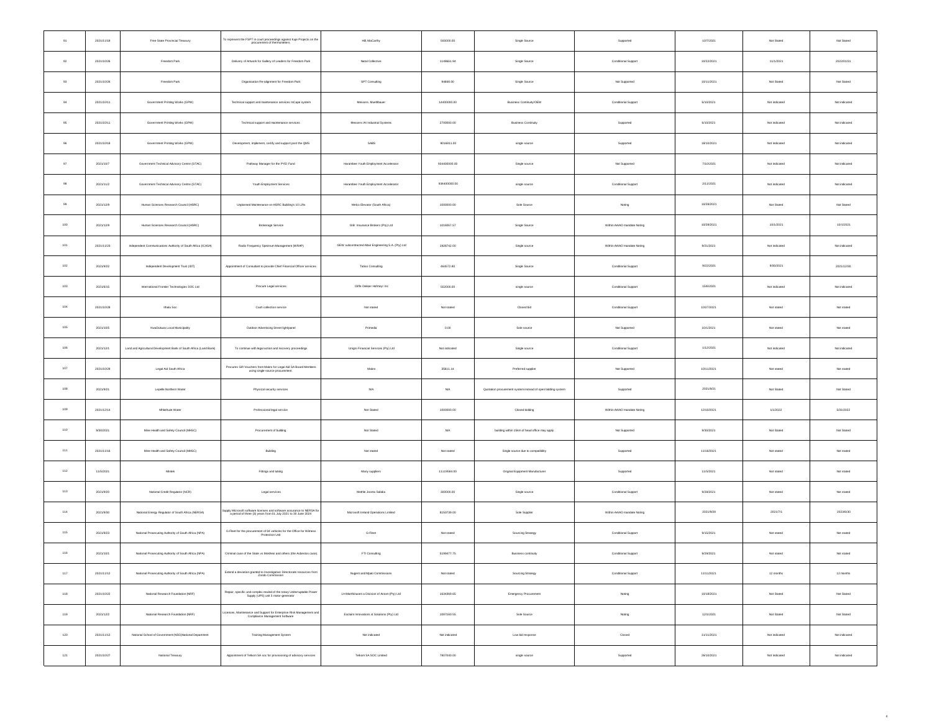| 91               | 2021/11/19 | Free State Provincial Treasury                                     | To represent the FSPT in court proceedings against Kuje Projects on the procurement of thermometers                                     | Hill, MaCarthy                                       | 500000.00     | Single Source                                               | Supported                   | 10/7/2021  | Not Stated    | Not Stated    |
|------------------|------------|--------------------------------------------------------------------|-----------------------------------------------------------------------------------------------------------------------------------------|------------------------------------------------------|---------------|-------------------------------------------------------------|-----------------------------|------------|---------------|---------------|
| $\mathfrak{g}_2$ | 2021/10/26 | Freedom Park                                                       | Delivery of Artwork for Gallery of Leaders for Freedom Park                                                                             | Natal Collective                                     | 1148661.94    | Single Source                                               | Conditional Support         | 10/22/2021 | 11/1/2021     | 2022/01/31    |
| $93\,$           | 2021/10/26 | Freedom Park                                                       | Organisation Re-alignment for Freedom Park                                                                                              | SPT Consulting                                       | 94668.00      | Single Source                                               | Not Supported               | 10/11/2021 | Not Stated    | Not Stated    |
| 94               | 2021/10/11 | Government Printing Works (GPW)                                    | Technical support and maintenance services InCape system                                                                                | Mossors Mushihouan                                   | 14400000.00   | Business Continuity/OEM                                     | Conditional Support         | 6/10/2021  | Not indicated | Not indicated |
| $95\,$           | 2021/10/11 | Government Printing Works (GPW)                                    | Technical support and maintenance services                                                                                              | Messers IAI Industrial Systems                       | 2700000.00    | <b>Business Continuity</b>                                  | Supported                   | 6/10/2021  | Not indicated | Not indicated |
| 96               | 2021/10/18 | Government Printing Works (GPW)                                    | Development, implement, certify and support post the QMS                                                                                | SABS                                                 | 9016811.00    | single source                                               | Supported                   | 18/10/2021 | Not indicated | Not indicated |
| $97\,$           | 2021/10/7  | Government Technical Advisory Centre (GTAC)                        | Pathway Manager for the PYEI Fund                                                                                                       | Harambee Youth Employment Accelerator                | 934400000.00  | Single source                                               | Not Supported               | 7/10/2021  | Not indicated | Not indicated |
| $98\,$           | 2021/11/2  | Government Technical Advisory Centre (GTAC)                        | Youth Employment Services                                                                                                               | Harambee Youth Employment Accelerator                | 934400000.00  | single source                                               | Conditional Support         | 2/11/2021  | Not indicated | Not indicated |
| 99               | 2021/12/9  | Human Sciences Research Council (HSRC)                             | Unplanned Maintenance on HSRC Building's 10 Lifts                                                                                       | Melco Elevator (South Africa)                        | 1000000.00    | Sole Source                                                 | Noting                      | 10/28/2021 | Not Stated    | Not Stated    |
| $100 -$          | 2021/12/9  | Human Sciences Research Council (HSRC)                             | Brokerage Service                                                                                                                       | GIB Insurance Brokers (Pty) Ltd                      | 1016067.57    | Single Source                                               | Within AA/AO mandate Noting | 10/28/2021 | 10/1/2021     | 10/1/2021     |
| 101              | 2021/11/23 | Independent Communications Authority of South Africa (ICASA)       | Radio Frequency Spectrum Management (WRAP)                                                                                              | GEW subcontracted Altair Engineering S.A. (Pty) Ltd. | 1928742.00    | Single source                                               | Within AA/AO mandate Noting | 9/21/2021  | Not indicated | Not indicated |
| $102\,$          | 2021/9/22  | Independent Development Trust (IDT)                                | Appointment of Consultant to provide Chief Financial Officer services                                                                   | Tatiso Consulting                                    | 464572.80     | Single Source                                               | Conditional Support         | 9/22/2021  | 9/30/2021     | 2021/12/30    |
| 103              | 2021/6/15  | International Frontier Technologies SOC Ltd                        | Procure Legal services                                                                                                                  | Cliffe Dekker Hofmeyr Inc.                           | 552000.00     | single source                                               | Conditional Support         | 15/6/2021  | Not indicated | Not indicated |
| 104              | 2021/10/28 | Ithala Soc                                                         | Cash collection service                                                                                                                 | Not stated                                           | Not stated    | Closed bid                                                  | Conditional Support         | 10/27/2021 | Not stated    | Not stated    |
| $105\,$          | 2021/10/5  | KwaDukuza Local Municipality                                       | Outdoor Advertising Street light/panel                                                                                                  | Primedia                                             | 0.00          | Sole source                                                 | Not Supported               | 10/1/2021  | Not stated    | Not stated    |
| 106              | 2021/12/1  | Land and Agricultural Development Bank of South Africa (Land Bank) | To continue with legal action and recovery proceedings                                                                                  | Unigro Financial Services (Pty) Ltd                  | Not indicated | Single source                                               | Conditional Support         | 1/12/2021  | Not indicated | Not indicated |
| $107\,$          | 2021/10/29 | Legal Aid South Africa                                             | Procures Gift Vouchers from Makro for Legal Aid SA Board Members<br>using single-source procurement                                     | Makro                                                | 35611.14      | Preferred supplier                                          | Not Supported               | 10/11/2021 | Not stated    | Not stated    |
| $108$            | 2021/9/21  | Lepelle Northern Water                                             | Physical security services                                                                                                              | $_{\rm NIA}$                                         | $_{\rm NA}$   | Quotation procurement system instead of open bidding system | Supported                   | 2021/9/21  | Not Stated    | Not Stated    |
| 109              | 2021/12/14 | Mhiathuzo Water                                                    | Professional legal service                                                                                                              | Not Stated                                           | 1000000.00    | Closed bidding                                              | Within AA/AO mandate Noting | 12/10/2021 | 1/1/2022      | 5/31/2022     |
| 110              | 9/30/2021  | Mine Health and Safety Council (MHSC)                              | Procurement of building                                                                                                                 | Not Stated                                           | $_{\rm NA}$   | building within 15km of head office may apply               | Not Supported               | 9/30/2021  | Not Stated    | Not Stated    |
| 111              | 2021/11/16 | Mine Health and Safety Council (MHSC)                              | Building                                                                                                                                | Not stated                                           | Not stated    | Single source due to compatibility                          | Supported                   | 11/16/2021 | Not stated    | Not stated    |
| $^{\rm 112}$     | 11/5/2021  | Mintek                                                             | Fittings and tubing                                                                                                                     | Many suppliers                                       | 11119584.00   | Original Equipment Manufacturer                             | Supported                   | 11/5/2021  | Not stated    | Not stated    |
| 113              | 2021/9/20  | National Credit Regulator (NCR)                                    | Legal services                                                                                                                          | Mothie Jooma Sabdia                                  | 300000.00     | Single source                                               | Conditional Support         | 9/28/2021  | Not stated    | Not stated    |
| 114              | 2021/9/30  | National Energy Regulator of South Africa (NERSA)                  | Supply Microsoft software licenses and software assurance to NERSA for<br>a period of three (3) years from 01 July 2021 to 30 June 2024 | Microsoft Ireland Operations Limited                 | 8150739.00    | Sole Supplier                                               | Within AA/AO mandate Noting | 2021/9/28  | 2021/7/1      | 2023/6/30     |
| 115              | 2021/9/23  | National Prosecuting Authority of South Africa (NPA)               | G-Fleet for the procurement of 94 vehicles for the Office for Witness<br>Protection Unit                                                | G-Floot                                              | Not stated    | Sourcing Strategy                                           | Conditional Support         | 9/15/2021  | Not stated    | Not stated    |
| 116              | 2021/10/1  | National Prosecuting Authority of South Africa (NPA)               | Criminal case of the State vs Mokhesi and others (the Asbestos case)                                                                    | FTI Consulting                                       | 5199477.75    | Business continuity                                         | Conditional Support         | 9/29/2021  | Not stated    | Not stated    |
| $117\,$          | 2021/11/12 | National Prosecuting Authority of South Africa (NPA)               | Extend a deviation granted to Investigative Directorate resources from<br>Zondo Commission                                              | Nugent and Mpati Commissions                         | Not stated    | Sourcing Strategy                                           | Conditional Support         | 11/11/2021 | 12 months     | 12 months     |
| 118              | 2021/10/22 | National Research Foundation (NRF)                                 | Repair, specific and complex rewind of the rotary Uniterruptable Power<br>Supply (UPS) unit 3 motor-generator                           | LH-Marthinusen a Division of Actom (Pty) Ltd         | 1634369.65    | Emergency Procurement                                       | Noting                      | 10/18/2021 | Not Stated    | Not Stated    |
| 119              | 2021/12/2  | National Research Foundation (NRF)                                 | Licences, Maintenance and Support for Enterprise Risk Management and<br>Compliance Management Software                                  | Exclaim Innovations & Solutions (Pty) Ltd            | 1087160.55    | Sole Source                                                 | Noting                      | 12/1/2021  | Not Stated    | Not Stated    |
| 120              | 2021/11/12 | National School of Government (NSG)National Department             | Training Management System                                                                                                              | Not indicated                                        | Not indicated | Low bid response                                            | Closed                      | 11/11/2021 | Not indicated | Not indicated |
| 121              | 2021/10/27 | National Treasury                                                  | Appointment of Telkom SA soc for provisioning of advisory services                                                                      | Telkom SA SOC Limited                                | 7807040.00    | $single\ source$                                            | Supported                   | 26/10/2021 | Not indicated | Not indicated |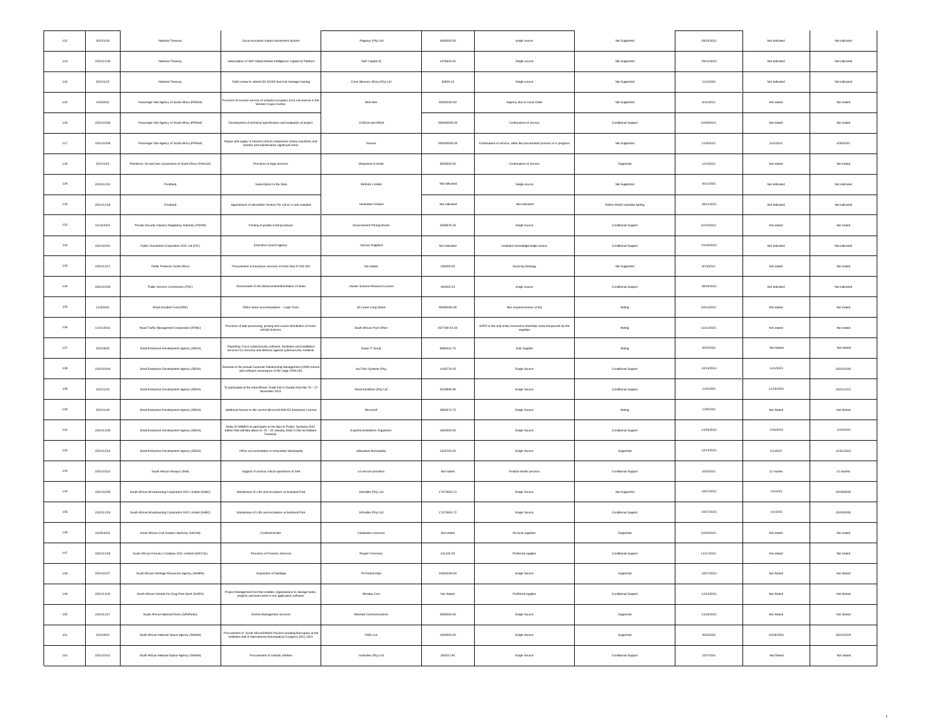| $122\,$ | 2021/11/8  | National Treasury                                            | Socio-economic Impact Assesment System                                                                                                                 | Pegasys (Pty) Ltd                | 1669200.00    | single source                                                                       | Not Supported               | 29/10/2021 | Not indicated | Not indicated |
|---------|------------|--------------------------------------------------------------|--------------------------------------------------------------------------------------------------------------------------------------------------------|----------------------------------|---------------|-------------------------------------------------------------------------------------|-----------------------------|------------|---------------|---------------|
| 123     | 2021/11/29 | National Treasury                                            | Subscription of S&P Global Market Intelligence Capital IQ Platform                                                                                     | S&P Capital IQ                   | 1378643.00    | Single source                                                                       | Not Supported               | 29/11/2021 | Not indicated | Not indicated |
| $124\,$ | 2021/12/2  | National Treasury                                            | Faith Leeuw to attend ISO 31000 lead risk manager training                                                                                             | Crest Advisory Africa (Pty) Ltd. | 32059.13      | Single source                                                                       | Not Supported               | 1/12/2021  | Not indicated | Not indicated |
| 125     | 11/6/2021  | Passenger Rail Agency of South Africa (PRASA)                | vision of eviction service of unlawful occupiers of its rail reserve in the Western Cape Central.                                                      | Red Ants                         | 80000000.00   | Urgency due to Court Order                                                          | Not Supported               | 4/11/2021  | Not stated    | Not stated    |
| 126     | 2021/10/28 | Passenger Rail Agency of South Africa (PRASA)                | Development of technical specification and evaluation of project                                                                                       | COEGA and DBSA                   | 300000000.00  | Continuation of service                                                             | Conditional Support         | 10/28/2021 | Not stated    | Not stated    |
| $127\,$ | 2021/10/28 | Passenger Rail Agency of South Africa (PRASA)                | Repair and supply of mission critical components (rotary machines and<br>wheels) and maintenance significant items                                     | Various                          | 400000000.00  | Continuation of service, while the procurement process in is progress               | Not Supported               | 11/9/2021  | 12/1/2021     | 5/30/2022     |
| 128     | 2021/12/1  | Petroleum, Oil and Gas Corporation of South Africa (PetroSA) | Provision of legal services                                                                                                                            | Shepstone & Wylie                | 4500000.00    | Continuation of service                                                             | Supported                   | 12/1/2021  | Not stated    | Not stated    |
| $129\,$ | 2021/11/12 | Postbank                                                     | Subscription to the Data                                                                                                                               | Refinitiv Limited                | Not indicated | Single source                                                                       | Not Supported               | 8/11/2021  | Not indicated | Not indicated |
| 130     | 2021/11/19 | Postbank                                                     | Appointment of Harambee Venture Pty Ltd on a sole mandate                                                                                              | Harambee Venture                 | Not indicated | Not indicated                                                                       | Within AA/AO mandate Noting | 18/11/2021 | Not indicated | Not indicated |
| 131     | 12/14/2021 | Private Security Industry Regulatory Authority (PSIRA)       | Printing of grades training manual                                                                                                                     | Governament Prining Works        | 3308678.34    | Single source                                                                       | Conditional Support         | 12/14/2021 | Not stated    | Not stated    |
| 132     | 2021/10/21 | Public Investment Corporation SOC Ltd (PIC)                  | Executive search agency                                                                                                                                | Various Suppliers                | Not indicated | Institution knowledge/single source                                                 | Conditional Support         | 21/10/2021 | Not indicated | Not indicated |
| 133     | 2021/11/17 | Public Pentector South Africa                                | Procurement of insurance services of more than R 250 000                                                                                               | Not stated                       | 250000.00     | Sourcing Strategy                                                                   | Not Supported               | 9/13/2021  | Not stated    | Not stated    |
| 134     | 2021/10/29 | Public Service Commission (PSC)                              | Assessment of the disbursement/distribution of funds                                                                                                   | Human Science Research council   | 300002.23     | single source                                                                       | Conditional Support         | 28/10/2021 | Not indicated | Not indicated |
| 135     | 11/3/2021  | Road Accident Fund (RAF)                                     | Office lease accommodation - Cape Town                                                                                                                 | 35 Lower Long Street             | 90598290.56   | Non responsiveness of bid                                                           | Noting                      | 10/11/2021 | Not stated    | Not stated    |
| 136     | 11/11/2021 | Road Traffic Management Corporation (RTMC)                   | Provision of bulk processing, printing and courier distribution of motor<br>vehicle licences                                                           | South African Post Office        | 837769714.00  | SAPO is the only entity licensed to distribute reserved parcels by the<br>regularor | Noting                      | 11/11/2021 | Not stated    | Not stated    |
| $137\,$ | 2021/9/20  | Small Enterprise Development Agency (SEDA)                   | Reporting: Cisco cybersecurity software, hardware and installation<br>services for recovery and defence against cybersecurity incidents                | Sizwe IT Group                   | 5980442.75    | Sole Supplier                                                                       | Noting                      | 8/20/2021  | Not Stated    | Not Stated    |
| 138     | 2021/10/19 | Small Enterprise Development Agency (SEDA)                   | Renewal of the annual Customer Relationship Management (CRM) licens                                                                                    | AccTech Systems (Pty)            | 1193778.20    | Single Source                                                                       | Conditional Support         | 10/13/2021 | 11/1/2021     | 2022/10/30    |
| 139     | 2021/11/5  | Small Enterprise Development Agency (SEDA)                   | To participate at the Intra-African Trade Fair in Durban from the $15-21$<br>November 2021                                                             | Reed Exhibition (Pty) Ltd.       | 2533896.80    | Single Source                                                                       | Conditional Support         | 11/4/2021  | 11/15/2021    | 2021/11/21    |
| 140     | 2021/11/9  | Small Enterprise Development Agency (SEDA)                   | Additional license to the current Microsoft M36 E5 Enterprise License                                                                                  | Microsoft                        | 1882673.73    | Single Source                                                                       | Noting                      | 11/9/2021  | Not Stated    | Not Stated    |
| 141     | 2021/11/29 | Small Enterprise Development Agency (SEDA)                   | Seda 20 SMMES to participate at the Agro & Poultry Tanzania 2021<br>edition that will take place on 15 - 22 January 2022 in Dar-es-Salaam<br>Tanzania. | Expolink Exhibitions Organizers  | 1600000.00    | Single Source                                                                       | Conditional Support         | 11/25/2021 | 1/15/2022     | 1/22/2022     |
| $142\,$ | 2021/12/14 | Small Enterprise Development Agency (SEDA)                   | Office accommodation in Umsundual Municipality                                                                                                         | uMsunduzi Municipality           | 1331700.00    | Single Source                                                                       | Supported                   | 12/13/2021 | 1/1/2022      | 12/31/2023    |
| 143     | 2021/10/12 | South African Airways (SAA)                                  | Support of various critical operations of SAA                                                                                                          | 14 service providers             | Not stated    | Finalise tender process                                                             | Conditional Support         | 10/5/2021  | 12 months     | 12 months     |
| 144     | 2021/10/28 | South African Broadcasting Corporation SOC Limited (SABC)    | Maintenace of Lifts and escalators at Auckland Park                                                                                                    | Schindler (Pty) Ltd              | 17373925.72   | Single Source                                                                       | Not Supported               | 10/27/2021 | 1/1/2022      | 2024/09/30    |
| 145     | 2021/11/19 | South African Broadcasting Corporation SOC Limited (SABC)    | Maintenace of Lifts and escalators at Auckland Park                                                                                                    | Schindler (Pty) Ltd              | 17373925.72   | Single Source                                                                       | Conditional Support         | 10/27/2021 | 1/1/2022      | 2024/09/30    |
| 146     | 10/25/2021 | South African Civil Aviation Authority (SACAA)               | Confined tender                                                                                                                                        | Calabration services             | Not stated    | No local suppliers                                                                  | Supported                   | 10/25/2021 | Not stated    | Not stated    |
| $147\,$ | 2021/11/18 | South African Forestry Company SOC Limited (SAFCOL)          | Provision of Forensic Services                                                                                                                         | Peyper Forensics                 | 241155.00     | Preferred supplier                                                                  | Conditional Support         | 11/17/2021 | Not stated    | Not stated    |
| 148     | 2021/10/27 | South African Heritage Resources Agency (SAHRA)              | Acquisition of buildings                                                                                                                               | 79 Partnerships                  | 16000000.00   | Single Source                                                                       | Supported                   | 10/27/2021 | Not Stated    | Not Stated    |
| 149     | 2021/11/25 | South African Institute for Drug-Free Sport (SAIDS)          | Project Management tool that enables organizations to manage tasks, projects and team work in one application software                                 | Monday.Com                       | Not Stated    | Preffered supplier                                                                  | Conditional Support         | 11/22/2021 | Not Stated    | Not Stated    |
| 150     | 2021/11/17 | South African National Parks (SANParks)                      | Events Management services                                                                                                                             | Moshate Communications           | 2685393.53    | Single Source                                                                       | Supported                   | 11/10/2021 | Not Stated    | Not Stated    |
| 151     | 2021/9/22  | South African National Space Agency (SANSA)                  | Procurement of South Africa/SANSA Pavilion including floorspace at the<br>exhibition hall of International Astronautical Congress (IAC) 2021           | DXB Live                         | 1400000.00    | Single Source                                                                       | Supported                   | 9/22/2021  | 10/25/2021    | 2021/10/29    |
| 152     | 2021/10/11 | South African National Space Agency (SANSA)                  | Procurement of Isobody shelters                                                                                                                        | Isobodies (Pty) Ltd              | 283021.90     | Single Source                                                                       | Conditional Support         | 10/7/2021  | Not Stated    | Not Stated    |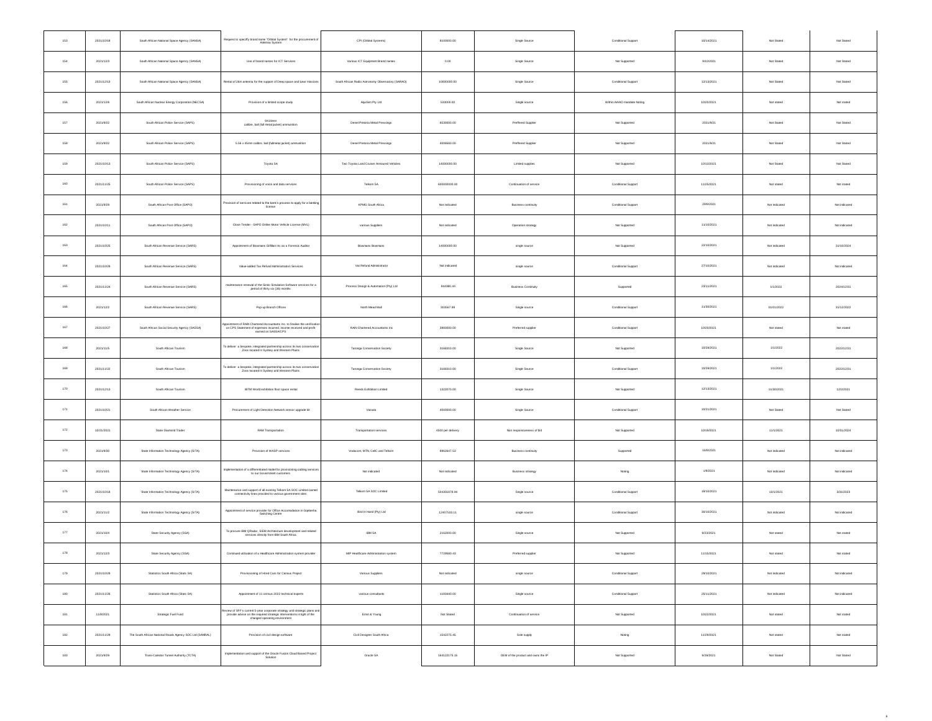| 153     | 2021/10/18 | South African National Space Agency (SANSA)              | Request to specifly brand name "Orbital System" for the procurement of<br>Antenna System                                                                                             | CPI (Orbital Systems)                             | 8100000.00        | Single Source                      | Conditional Support         | 10/14/2021 | Not Stated    | Not Stated    |
|---------|------------|----------------------------------------------------------|--------------------------------------------------------------------------------------------------------------------------------------------------------------------------------------|---------------------------------------------------|-------------------|------------------------------------|-----------------------------|------------|---------------|---------------|
| 154     | 2021/12/3  | South African National Space Agency (SANSA)              | Use of brand names for ICT Services                                                                                                                                                  | Various ICT Equipment Brand names                 | 0.00              | Single Source                      | Not Supported               | 9/10/2021  | Not Stated    | Not Stated    |
| 155     | 2021/12/13 | South African National Space Agency (SANSA)              | Rental of 26m antenna for the support of Deep space and lunar missions                                                                                                               | South African Radio Astronomy Observatory (SARAO) | 10000000.00       | Single Source                      | Conditional Support         | 12/13/2021 | Not Stated    | Not Stated    |
| 156     | 2021/12/6  | South African Nuclear Energy Corporation (NECSA)         | Provision of a limited scope study                                                                                                                                                   | AquiSim Pty Ltd                                   | 533000.00         | Single source                      | Within AA/AO mandate Noting | 10/20/2021 | Not stated    | Not stated    |
| 157     | 2021/9/22  | South African Police Service (SAPS)                      | 9X19mm<br>calibre, ball (full metal jacket) ammunition                                                                                                                               | Denel Pretoria Metal Pressings                    | 6530000.00        | Preffered Supplier                 | Not Supported               | 2021/9/21  | Not Stated    | Not Stated    |
| $158\,$ | 2021/9/22  | South African Police Service (SAPS)                      | 5.56 x 45mm calibre, ball (fullmetal jacket) ammunition                                                                                                                              | Denel Pretoria Metal Pressings                    | 4006560.00        | Preffered Supplier                 | Not Supported               | 2021/9/21  | Not Stated    | Not Stated    |
| 159     | 2021/10/13 | South African Police Service (SAPS)                      | Toyota SA                                                                                                                                                                            | Two Toyota Land Cruiser Armoured Vehicles         | 14000000.00       | Limited supplies                   | Not Supported               | 10/13/2021 | Not Stated    | Not Stated    |
| 160     | 2021/11/25 | South African Police Service (SAPS)                      | Provisioning of voice and data services                                                                                                                                              | Telkom SA                                         | 600000000.00      | Continuation of service            | Conditional Support         | 11/25/2021 | Not stated    | Not stated    |
| 161     | 2021/9/29  | South African Post Office (SAPO)                         | Provision of services related to the bank's process to apply for a banking                                                                                                           | KPMG South Africa                                 | Not indicated     | Business continuity                | Conditional Support         | 29/9/2021  | Not indicated | Not indicated |
| 162     | 2021/10/11 | South African Post Office (SAPO)                         | Close Tender - SAPO Online Motor Vehicle License (MVL)                                                                                                                               | various Suppliers                                 | Not indicated     | Operation strategy                 | Not Supported               | 11/10/2021 | Not indicated | Not indicated |
| 163     | 2021/10/25 | South African Revenue Service (SARS)                     | Appointment of Bowmans Giffilan Inc as a Forensic Auditor                                                                                                                            | Bowmans Bowmans                                   | 14000000.00       | single source                      | Not Supported               | 22/10/2021 | Not indicated | 31/10/2024    |
| 164     | 2021/10/29 | South African Revenue Service (SARS)                     | Value-added Tax Refund Administration Services                                                                                                                                       | Var Refund Administrator                          | Not indicated     | single source                      | Conditional Support         | 27/10/2021 | Not indicated | Not indicated |
| 165     | 2021/11/24 | South African Revenue Service (SARS)                     | maintenance renewal of the Simio Simulation Software services for a<br>period of thirty six (36) months                                                                              | Process Design & Automation (Pty) Ltd             | 944380.44         | <b>Business Continuity</b>         | Supported                   | 23/11/2021 | 1/1/2022      | 2024/12/31    |
| 166     | 2021/12/2  | South African Revenue Service (SARS)                     | Pop-up Branch Offices                                                                                                                                                                | North Mead Mall                                   | 303567.98         | Single source                      | Conditional Support         | 11/30/2021 | 01/01/2022    | 31/12/2022    |
| 167     | 2021/10/27 | South African Social Security Agency (SASSA)             | ppointment of RAN Chartered Accountants Inc. to finalise the verification<br>on CPS Statement of expenses incurred, income received and profit<br>earned on SASSA/CPS                | RAIN Chartered Accountants Inc.                   | 3900000.00        | Preferred supplier                 | Conditional Support         | 10/20/2021 | Not stated    | Not stated    |
| 168     | 2021/11/5  | South African Tourism                                    | To deliver a bespoke, integrated partnership across its two conservation<br>Zoos located in Sydney and Western Plains                                                                | Taronga Conservation Society                      | 3168310.00        | Single Source                      | Not Supported               | 10/28/2021 | 1/1/2022      | 2022/12/31    |
| 169     | 2021/11/22 | South African Tourism                                    | To deliver a bespoke, integrated partnership across its two conservation<br>Zoos located in Sydney and Western Plains                                                                | Taronga Conservation Society                      | 3168310.00        | Single Source                      | Conditional Support         | 10/28/2021 | 1/1/2022      | 2022/12/31    |
| 170     | 2021/12/13 | South African Tourism                                    | IBTM World exhibition floor space rental                                                                                                                                             | Reeds Exhibition Limited                          | 1322070.00        | Single Source                      | Not Supported               | 12/13/2021 | 11/30/2021    | 12/2/2021     |
| 171     | 2021/10/21 | South African Weather Service                            | Procurement of Light Detection Network sensor upgrade kit                                                                                                                            | Vaisala                                           | 4000000.00        | Single Source                      | Conditional Support         | 10/21/2021 | Not Stated    | Not Stated    |
| 172     | 10/21/2021 | State Diamond Trader                                     | RAM Transportation                                                                                                                                                                   | Transportation services                           | 4500 per delivery | Non responsiveness of bid          | Not Supported               | 10/19/2021 | 11/1/2021     | 10/31/2024    |
| $173\,$ | 2021/9/30  | State Information Technology Agency (SITA)               | Provision of WASP services                                                                                                                                                           | Vodacom, MTN, CellC and Telkom                    | 8962647.53        | Business continuity                | Supported                   | 16/9/2021  | Not indicated | Not indicated |
| 174     | 2021/10/1  | State Information Technology Agency (SITA)               | Implementation of a differentiated model for provisioning cabling services<br>to our Government customers                                                                            | Not indicated                                     | Not indicated     | Business strategy                  | Noting                      | 1/9/2021   | Not indicated | Not indicated |
| 175     | 2021/10/18 | State Information Technology Agency (SITA)               | Maintenance and support of all existing Telliom SA SOC Limited owned<br>connectivity lines provided to various government sites                                                      | Telkom SA SOC Limited                             | 504301878.94      | Single source                      | Conditional Support         | 18/10/2021 | 10/1/2021     | 3/31/2023     |
| 176     | 2021/11/2  | State Information Technology Agency (SITA)               | Appointment of service provider for Office Accomodation in Gqeberha<br>Switching Centre                                                                                              | Bird In Hand (Pty) Ltd                            | 12407533.11       | single source                      | Conditional Support         | 30/10/2021 | Not indicated | Not indicated |
| 177     | 2021/10/4  | State Security Agency (SSA)                              | To procure IBM QRadar, SIEM Architecture development and related<br>services directly from IBM South Africa                                                                          | IBM SA                                            | 2162000.00        | Single source                      | Not Supported               | 9/23/2021  | Not stated    | Not stated    |
| 178     | 2021/12/3  | State Security Agency (SSA)                              | Continued utilisation of a Healthcare Administrat                                                                                                                                    | MP Heathcare Administration sy                    | 7729580.43        | Preferred supplier                 | Not Supported               | 11/15/2021 | Not stated    | Not stated    |
| 179     | 2021/10/29 | Statistics South Africa (Stats SA)                       | Provissioning of Hired Cars for Census Project                                                                                                                                       | Various Suppliers                                 | Not indicated     | single source                      | Conditional Support         | 29/10/2021 | Not indicated | Not indicated |
| 180     | 2021/11/26 | Statistics South Africa (Stats SA)                       | Appointment of 11 census 2022 technical experts                                                                                                                                      | various consultants                               | 1183440.00        | Single source                      | Conditional Support         | 25/11/2021 | Not indicated | Not indicated |
| 181     | 11/8/2021  | Strategic Fuel Fund                                      | leview of SFF's current 5-year corporate strategy and strategic plans and<br>provide advise on the required strategic interventions in light of the<br>changed operating environment | Emst & Young                                      | Not Stated        | Continuation of service            | Not Supported               | 10/22/2021 | Not stated    | Not stated    |
| 182     | 2021/11/29 | The South African National Roads Agency SOC Ltd (SANRAL) | Provision of civil design software                                                                                                                                                   | Civil Designer South Africa                       | 1542275.45        | Sole supply                        | Noting                      | 11/29/2021 | Not stated    | Not stated    |
| 183     | 2021/9/29  | Trans-Caledon Tunnel Authority (TCTA)                    | Implementation and support of the Oracle Fusion Cloud Based Project<br>Solution                                                                                                      | Oracle SA                                         | 164122175.15      | OEM of the product and owns the IP | Not Supported               | 9/28/2021  | Not Stated    | Not Stated    |
|         |            |                                                          |                                                                                                                                                                                      |                                                   |                   |                                    |                             |            |               |               |